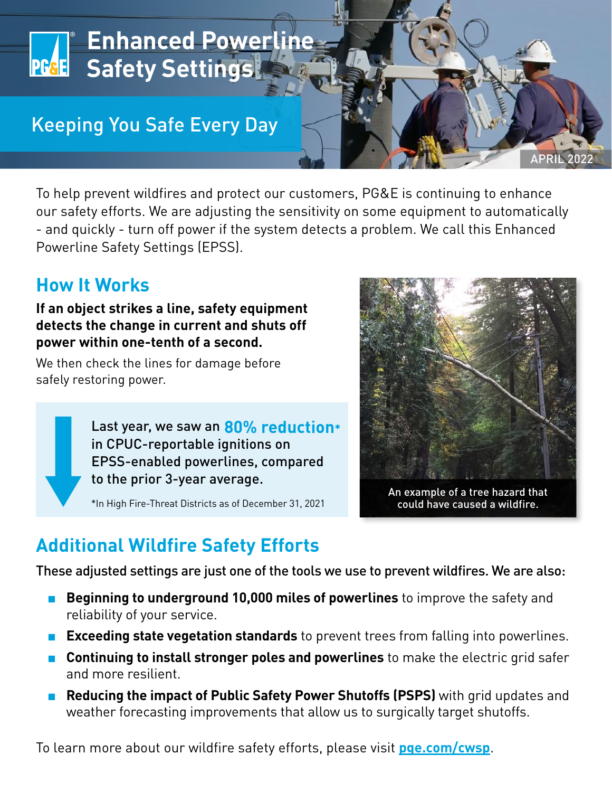

To help prevent wildfires and protect our customers, PG&E is continuing to enhance our safety efforts. We are adjusting the sensitivity on some equipment to automatically - and quickly - turn off power if the system detects a problem. We call this Enhanced Powerline Safety Settings (EPSS).

## **How It Works**

**If an object strikes a line, safety equipment detects the change in current and shuts off power within one-tenth of a second.** 

We then check the lines for damage before safely restoring power.

> Last year, we saw an **80% reduction\*** in CPUC-reportable ignitions on EPSS-enabled powerlines, compared to the prior 3-year average.

\*In High Fire-Threat Districts as of December 31, 2021



could have caused a wildfire.

## **Additional Wildfire Safety Efforts**

These adjusted settings are just one of the tools we use to prevent wildfires. We are also:

- **Beginning to underground 10,000 miles of powerlines** to improve the safety and reliability of your service.
- **Exceeding state vegetation standards** to prevent trees from falling into powerlines.
- **Continuing to install stronger poles and powerlines** to make the electric grid safer and more resilient.
- **Reducing the impact of Public Safety Power Shutoffs (PSPS)** with grid updates and weather forecasting improvements that allow us to surgically target shutoffs.

To learn more about our wildfire safety efforts, please visit **[pge.com/cwsp](https://www.pge.com/cwsp)**.